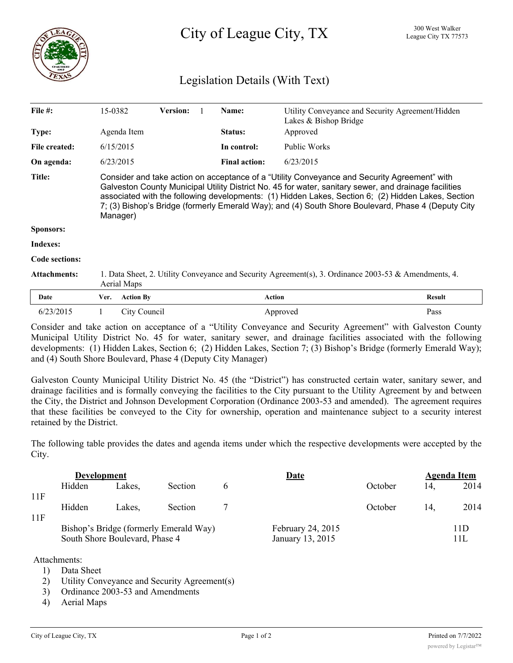City of League City, TX <sup>300 West Walker</sup>

## Legislation Details (With Text)

| File #:             | 15-0382                                                                                                                                                                                                                                                                                                                                                                                                                       |                  | <b>Version:</b> |  | Name:                | Utility Conveyance and Security Agreement/Hidden<br>Lakes & Bishop Bridge |               |  |  |
|---------------------|-------------------------------------------------------------------------------------------------------------------------------------------------------------------------------------------------------------------------------------------------------------------------------------------------------------------------------------------------------------------------------------------------------------------------------|------------------|-----------------|--|----------------------|---------------------------------------------------------------------------|---------------|--|--|
| <b>Type:</b>        | Agenda Item<br>6/15/2015                                                                                                                                                                                                                                                                                                                                                                                                      |                  |                 |  | <b>Status:</b>       | Approved                                                                  |               |  |  |
| File created:       |                                                                                                                                                                                                                                                                                                                                                                                                                               |                  |                 |  | In control:          | Public Works                                                              |               |  |  |
| On agenda:          | 6/23/2015                                                                                                                                                                                                                                                                                                                                                                                                                     |                  |                 |  | <b>Final action:</b> | 6/23/2015                                                                 |               |  |  |
| Title:              | Consider and take action on acceptance of a "Utility Conveyance and Security Agreement" with<br>Galveston County Municipal Utility District No. 45 for water, sanitary sewer, and drainage facilities<br>associated with the following developments: (1) Hidden Lakes, Section 6; (2) Hidden Lakes, Section<br>7; (3) Bishop's Bridge (formerly Emerald Way); and (4) South Shore Boulevard, Phase 4 (Deputy City<br>Manager) |                  |                 |  |                      |                                                                           |               |  |  |
| <b>Sponsors:</b>    |                                                                                                                                                                                                                                                                                                                                                                                                                               |                  |                 |  |                      |                                                                           |               |  |  |
| Indexes:            |                                                                                                                                                                                                                                                                                                                                                                                                                               |                  |                 |  |                      |                                                                           |               |  |  |
| Code sections:      |                                                                                                                                                                                                                                                                                                                                                                                                                               |                  |                 |  |                      |                                                                           |               |  |  |
| <b>Attachments:</b> | 1. Data Sheet, 2. Utility Conveyance and Security Agreement(s), 3. Ordinance 2003-53 & Amendments, 4.<br>Aerial Maps                                                                                                                                                                                                                                                                                                          |                  |                 |  |                      |                                                                           |               |  |  |
| Date                | Ver.                                                                                                                                                                                                                                                                                                                                                                                                                          | <b>Action By</b> |                 |  | <b>Action</b>        |                                                                           | <b>Result</b> |  |  |
| 6/23/2015           |                                                                                                                                                                                                                                                                                                                                                                                                                               | City Council     |                 |  |                      | Approved                                                                  | Pass          |  |  |

Consider and take action on acceptance of a "Utility Conveyance and Security Agreement" with Galveston County Municipal Utility District No. 45 for water, sanitary sewer, and drainage facilities associated with the following developments: (1) Hidden Lakes, Section 6; (2) Hidden Lakes, Section 7; (3) Bishop's Bridge (formerly Emerald Way); and (4) South Shore Boulevard, Phase 4 (Deputy City Manager)

Galveston County Municipal Utility District No. 45 (the "District") has constructed certain water, sanitary sewer, and drainage facilities and is formally conveying the facilities to the City pursuant to the Utility Agreement by and between the City, the District and Johnson Development Corporation (Ordinance 2003-53 and amended). The agreement requires that these facilities be conveyed to the City for ownership, operation and maintenance subject to a security interest retained by the District.

The following table provides the dates and agenda items under which the respective developments were accepted by the City.

|     | <b>Development</b>             |        |                                        |   | Date                                  | Agenda Item |     |             |  |  |
|-----|--------------------------------|--------|----------------------------------------|---|---------------------------------------|-------------|-----|-------------|--|--|
|     | Hidden                         | Lakes, | <b>Section</b>                         | b |                                       | October     | 14. | 2014        |  |  |
| 11F |                                |        |                                        |   |                                       |             |     |             |  |  |
|     | Hidden                         | Lakes. | <b>Section</b>                         |   |                                       | October     | 14. | 2014        |  |  |
| 11F | South Shore Boulevard, Phase 4 |        | Bishop's Bridge (formerly Emerald Way) |   | February 24, 2015<br>January 13, 2015 |             |     | 11D<br>11 L |  |  |
|     |                                |        |                                        |   |                                       |             |     |             |  |  |

Attachments:

- 1) Data Sheet
- 2) Utility Conveyance and Security Agreement(s)
- 3) Ordinance 2003-53 and Amendments

4) Aerial Maps